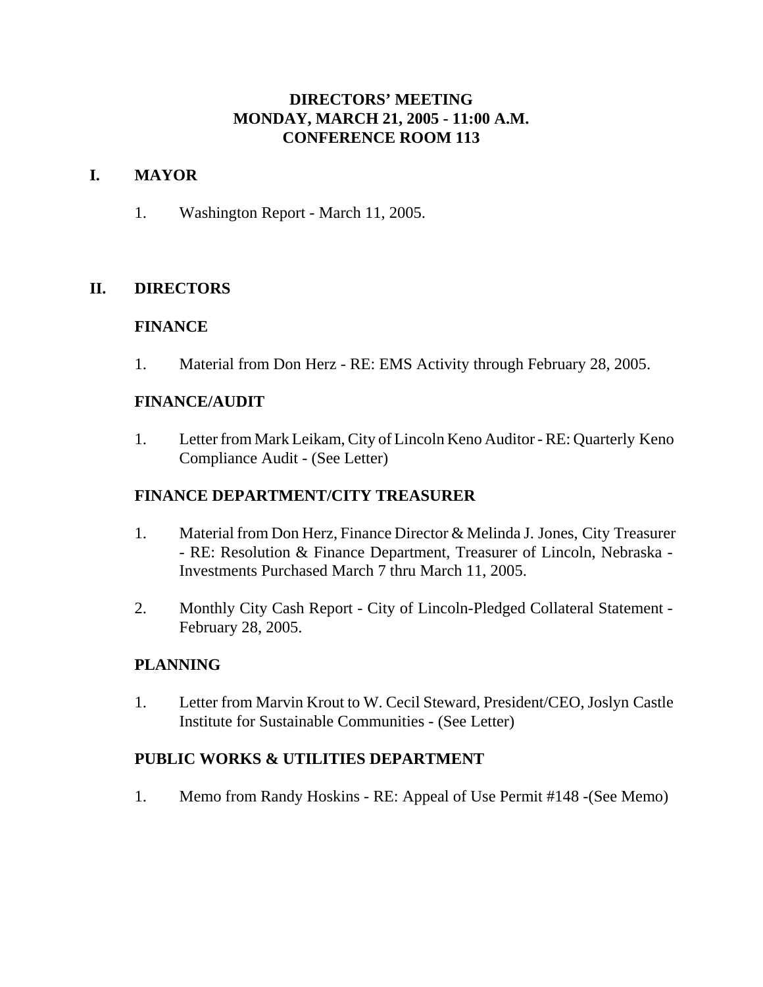# **DIRECTORS' MEETING MONDAY, MARCH 21, 2005 - 11:00 A.M. CONFERENCE ROOM 113**

# **I. MAYOR**

1. Washington Report - March 11, 2005.

# **II. DIRECTORS**

#### **FINANCE**

1. Material from Don Herz - RE: EMS Activity through February 28, 2005.

# **FINANCE/AUDIT**

1. Letter from Mark Leikam, City of Lincoln Keno Auditor - RE: Quarterly Keno Compliance Audit - (See Letter)

# **FINANCE DEPARTMENT/CITY TREASURER**

- 1. Material from Don Herz, Finance Director & Melinda J. Jones, City Treasurer - RE: Resolution & Finance Department, Treasurer of Lincoln, Nebraska - Investments Purchased March 7 thru March 11, 2005.
- 2. Monthly City Cash Report City of Lincoln-Pledged Collateral Statement February 28, 2005.

# **PLANNING**

1. Letter from Marvin Krout to W. Cecil Steward, President/CEO, Joslyn Castle Institute for Sustainable Communities - (See Letter)

# **PUBLIC WORKS & UTILITIES DEPARTMENT**

1. Memo from Randy Hoskins - RE: Appeal of Use Permit #148 -(See Memo)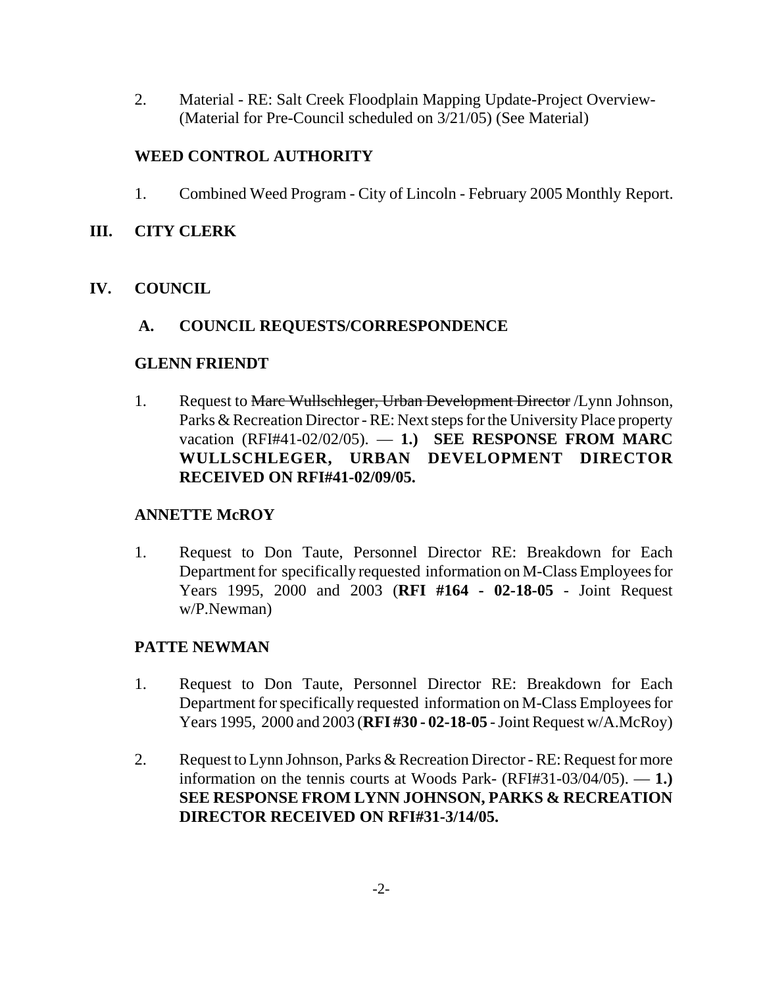2. Material - RE: Salt Creek Floodplain Mapping Update-Project Overview- (Material for Pre-Council scheduled on 3/21/05) (See Material)

# **WEED CONTROL AUTHORITY**

1. Combined Weed Program - City of Lincoln - February 2005 Monthly Report.

### **III. CITY CLERK**

# **IV. COUNCIL**

# **A. COUNCIL REQUESTS/CORRESPONDENCE**

#### **GLENN FRIENDT**

1. Request to Marc Wullschleger, Urban Development Director / Lynn Johnson, Parks & Recreation Director - RE: Next steps for the University Place property vacation (RFI#41-02/02/05). — **1.) SEE RESPONSE FROM MARC WULLSCHLEGER, URBAN DEVELOPMENT DIRECTOR RECEIVED ON RFI#41-02/09/05.**

# **ANNETTE McROY**

1. Request to Don Taute, Personnel Director RE: Breakdown for Each Department for specifically requested information on M-Class Employees for Years 1995, 2000 and 2003 (**RFI #164 - 02-18-05** - Joint Request w/P.Newman)

# **PATTE NEWMAN**

- 1. Request to Don Taute, Personnel Director RE: Breakdown for Each Department for specifically requested information on M-Class Employees for Years 1995, 2000 and 2003 (**RFI #30 - 02-18-05** - Joint Request w/A.McRoy)
- 2. Request to Lynn Johnson, Parks & Recreation Director RE: Request for more information on the tennis courts at Woods Park- (RFI#31-03/04/05). — **1.) SEE RESPONSE FROM LYNN JOHNSON, PARKS & RECREATION DIRECTOR RECEIVED ON RFI#31-3/14/05.**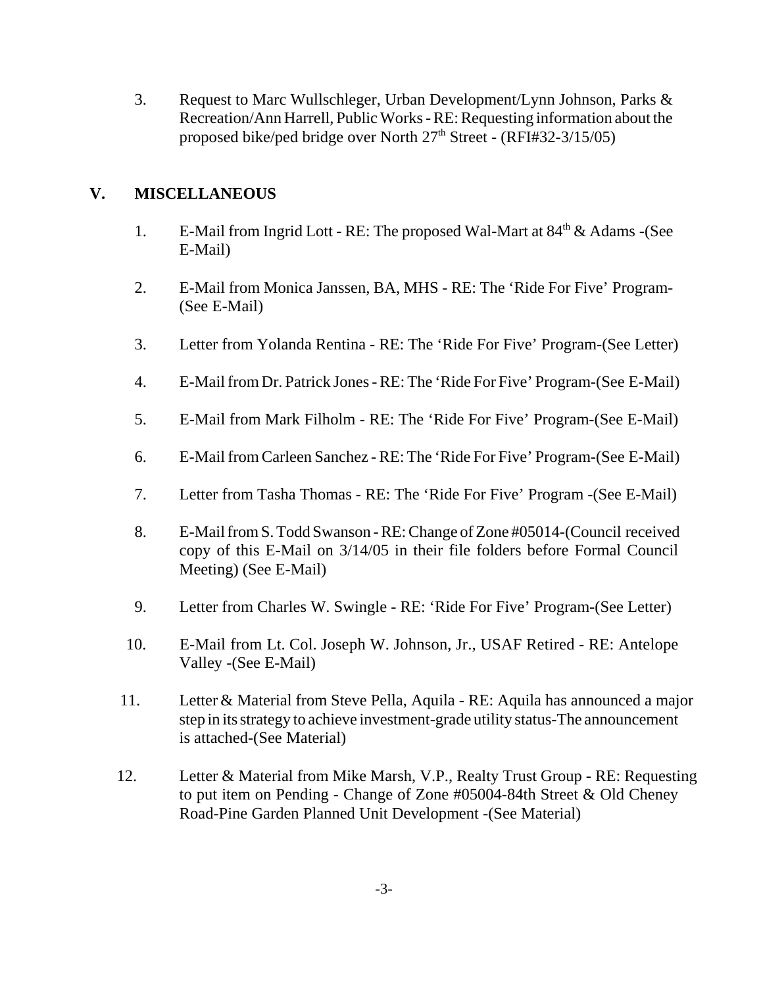3. Request to Marc Wullschleger, Urban Development/Lynn Johnson, Parks & Recreation/Ann Harrell, Public Works - RE: Requesting information about the proposed bike/ped bridge over North 27th Street - (RFI#32-3/15/05)

# **V. MISCELLANEOUS**

- 1. E-Mail from Ingrid Lott RE: The proposed Wal-Mart at  $84<sup>th</sup>$  & Adams -(See E-Mail)
- 2. E-Mail from Monica Janssen, BA, MHS RE: The 'Ride For Five' Program- (See E-Mail)
- 3. Letter from Yolanda Rentina RE: The 'Ride For Five' Program-(See Letter)
- 4. E-Mail from Dr. Patrick Jones RE: The 'Ride For Five' Program-(See E-Mail)
- 5. E-Mail from Mark Filholm RE: The 'Ride For Five' Program-(See E-Mail)
- 6. E-Mail from Carleen Sanchez RE: The 'Ride For Five' Program-(See E-Mail)
- 7. Letter from Tasha Thomas RE: The 'Ride For Five' Program -(See E-Mail)
- 8. E-Mail from S. Todd Swanson RE: Change of Zone #05014-(Council received copy of this E-Mail on 3/14/05 in their file folders before Formal Council Meeting) (See E-Mail)
- 9. Letter from Charles W. Swingle RE: 'Ride For Five' Program-(See Letter)
- 10. E-Mail from Lt. Col. Joseph W. Johnson, Jr., USAF Retired RE: Antelope Valley -(See E-Mail)
- 11. Letter & Material from Steve Pella, Aquila RE: Aquila has announced a major step in its strategy to achieve investment-grade utility status-The announcement is attached-(See Material)
- 12. Letter & Material from Mike Marsh, V.P., Realty Trust Group RE: Requesting to put item on Pending - Change of Zone #05004-84th Street & Old Cheney Road-Pine Garden Planned Unit Development -(See Material)